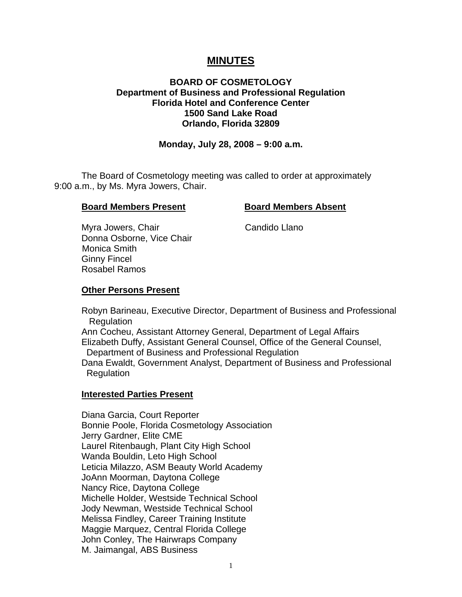# **MINUTES**

## **BOARD OF COSMETOLOGY Department of Business and Professional Regulation Florida Hotel and Conference Center 1500 Sand Lake Road Orlando, Florida 32809**

## **Monday, July 28, 2008 – 9:00 a.m.**

 The Board of Cosmetology meeting was called to order at approximately 9:00 a.m., by Ms. Myra Jowers, Chair.

#### **Board Members Present Board Members Absent**

Myra Jowers, Chair Chair Candido Llano Donna Osborne, Vice Chair Monica Smith Ginny Fincel Rosabel Ramos

#### **Other Persons Present**

 Robyn Barineau, Executive Director, Department of Business and Professional **Regulation** 

 Ann Cocheu, Assistant Attorney General, Department of Legal Affairs Elizabeth Duffy, Assistant General Counsel, Office of the General Counsel, Department of Business and Professional Regulation

 Dana Ewaldt, Government Analyst, Department of Business and Professional **Regulation** 

#### **Interested Parties Present**

Diana Garcia, Court Reporter Bonnie Poole, Florida Cosmetology Association Jerry Gardner, Elite CME Laurel Ritenbaugh, Plant City High School Wanda Bouldin, Leto High School Leticia Milazzo, ASM Beauty World Academy JoAnn Moorman, Daytona College Nancy Rice, Daytona College Michelle Holder, Westside Technical School Jody Newman, Westside Technical School Melissa Findley, Career Training Institute Maggie Marquez, Central Florida College John Conley, The Hairwraps Company M. Jaimangal, ABS Business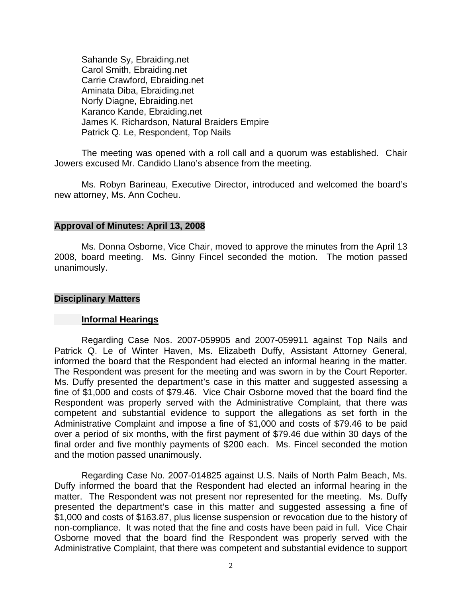Sahande Sy, Ebraiding.net Carol Smith, Ebraiding.net Carrie Crawford, Ebraiding.net Aminata Diba, Ebraiding.net Norfy Diagne, Ebraiding.net Karanco Kande, Ebraiding.net James K. Richardson, Natural Braiders Empire Patrick Q. Le, Respondent, Top Nails

 The meeting was opened with a roll call and a quorum was established. Chair Jowers excused Mr. Candido Llano's absence from the meeting.

 Ms. Robyn Barineau, Executive Director, introduced and welcomed the board's new attorney, Ms. Ann Cocheu.

## **Approval of Minutes: April 13, 2008**

Ms. Donna Osborne, Vice Chair, moved to approve the minutes from the April 13 2008, board meeting. Ms. Ginny Fincel seconded the motion. The motion passed unanimously.

#### **Disciplinary Matters**

#### **Informal Hearings**

 Regarding Case Nos. 2007-059905 and 2007-059911 against Top Nails and Patrick Q. Le of Winter Haven, Ms. Elizabeth Duffy, Assistant Attorney General, informed the board that the Respondent had elected an informal hearing in the matter. The Respondent was present for the meeting and was sworn in by the Court Reporter. Ms. Duffy presented the department's case in this matter and suggested assessing a fine of \$1,000 and costs of \$79.46. Vice Chair Osborne moved that the board find the Respondent was properly served with the Administrative Complaint, that there was competent and substantial evidence to support the allegations as set forth in the Administrative Complaint and impose a fine of \$1,000 and costs of \$79.46 to be paid over a period of six months, with the first payment of \$79.46 due within 30 days of the final order and five monthly payments of \$200 each. Ms. Fincel seconded the motion and the motion passed unanimously.

 Regarding Case No. 2007-014825 against U.S. Nails of North Palm Beach, Ms. Duffy informed the board that the Respondent had elected an informal hearing in the matter. The Respondent was not present nor represented for the meeting. Ms. Duffy presented the department's case in this matter and suggested assessing a fine of \$1,000 and costs of \$163.87, plus license suspension or revocation due to the history of non-compliance. It was noted that the fine and costs have been paid in full. Vice Chair Osborne moved that the board find the Respondent was properly served with the Administrative Complaint, that there was competent and substantial evidence to support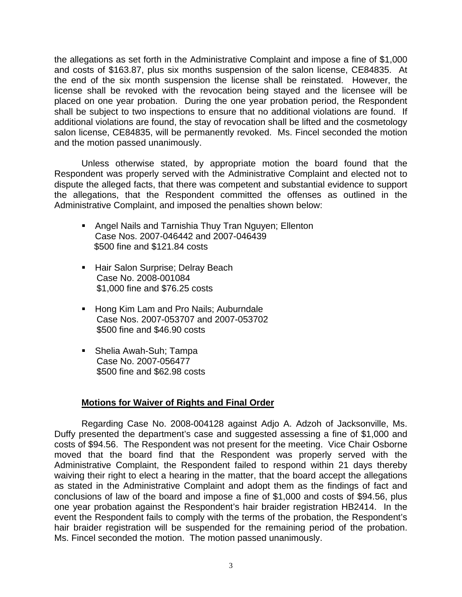the allegations as set forth in the Administrative Complaint and impose a fine of \$1,000 and costs of \$163.87, plus six months suspension of the salon license, CE84835. At the end of the six month suspension the license shall be reinstated. However, the license shall be revoked with the revocation being stayed and the licensee will be placed on one year probation. During the one year probation period, the Respondent shall be subject to two inspections to ensure that no additional violations are found. If additional violations are found, the stay of revocation shall be lifted and the cosmetology salon license, CE84835, will be permanently revoked. Ms. Fincel seconded the motion and the motion passed unanimously.

 Unless otherwise stated, by appropriate motion the board found that the Respondent was properly served with the Administrative Complaint and elected not to dispute the alleged facts, that there was competent and substantial evidence to support the allegations, that the Respondent committed the offenses as outlined in the Administrative Complaint, and imposed the penalties shown below:

- **Angel Nails and Tarnishia Thuy Tran Nguyen; Ellenton** Case Nos. 2007-046442 and 2007-046439 \$500 fine and \$121.84 costs
- **Hair Salon Surprise; Delray Beach**  Case No. 2008-001084 \$1,000 fine and \$76.25 costs
- **Hong Kim Lam and Pro Nails; Auburndale**  Case Nos. 2007-053707 and 2007-053702 \$500 fine and \$46.90 costs
- **Shelia Awah-Suh; Tampa**  Case No. 2007-056477 \$500 fine and \$62.98 costs

## **Motions for Waiver of Rights and Final Order**

 Regarding Case No. 2008-004128 against Adjo A. Adzoh of Jacksonville, Ms. Duffy presented the department's case and suggested assessing a fine of \$1,000 and costs of \$94.56. The Respondent was not present for the meeting. Vice Chair Osborne moved that the board find that the Respondent was properly served with the Administrative Complaint, the Respondent failed to respond within 21 days thereby waiving their right to elect a hearing in the matter, that the board accept the allegations as stated in the Administrative Complaint and adopt them as the findings of fact and conclusions of law of the board and impose a fine of \$1,000 and costs of \$94.56, plus one year probation against the Respondent's hair braider registration HB2414. In the event the Respondent fails to comply with the terms of the probation, the Respondent's hair braider registration will be suspended for the remaining period of the probation. Ms. Fincel seconded the motion. The motion passed unanimously.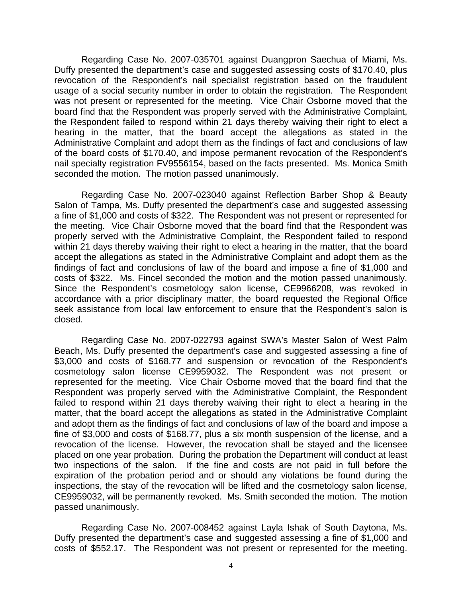Regarding Case No. 2007-035701 against Duangpron Saechua of Miami, Ms. Duffy presented the department's case and suggested assessing costs of \$170.40, plus revocation of the Respondent's nail specialist registration based on the fraudulent usage of a social security number in order to obtain the registration. The Respondent was not present or represented for the meeting. Vice Chair Osborne moved that the board find that the Respondent was properly served with the Administrative Complaint, the Respondent failed to respond within 21 days thereby waiving their right to elect a hearing in the matter, that the board accept the allegations as stated in the Administrative Complaint and adopt them as the findings of fact and conclusions of law of the board costs of \$170.40, and impose permanent revocation of the Respondent's nail specialty registration FV9556154, based on the facts presented. Ms. Monica Smith seconded the motion. The motion passed unanimously.

 Regarding Case No. 2007-023040 against Reflection Barber Shop & Beauty Salon of Tampa, Ms. Duffy presented the department's case and suggested assessing a fine of \$1,000 and costs of \$322. The Respondent was not present or represented for the meeting. Vice Chair Osborne moved that the board find that the Respondent was properly served with the Administrative Complaint, the Respondent failed to respond within 21 days thereby waiving their right to elect a hearing in the matter, that the board accept the allegations as stated in the Administrative Complaint and adopt them as the findings of fact and conclusions of law of the board and impose a fine of \$1,000 and costs of \$322. Ms. Fincel seconded the motion and the motion passed unanimously. Since the Respondent's cosmetology salon license, CE9966208, was revoked in accordance with a prior disciplinary matter, the board requested the Regional Office seek assistance from local law enforcement to ensure that the Respondent's salon is closed.

 Regarding Case No. 2007-022793 against SWA's Master Salon of West Palm Beach, Ms. Duffy presented the department's case and suggested assessing a fine of \$3,000 and costs of \$168.77 and suspension or revocation of the Respondent's cosmetology salon license CE9959032. The Respondent was not present or represented for the meeting. Vice Chair Osborne moved that the board find that the Respondent was properly served with the Administrative Complaint, the Respondent failed to respond within 21 days thereby waiving their right to elect a hearing in the matter, that the board accept the allegations as stated in the Administrative Complaint and adopt them as the findings of fact and conclusions of law of the board and impose a fine of \$3,000 and costs of \$168.77, plus a six month suspension of the license, and a revocation of the license. However, the revocation shall be stayed and the licensee placed on one year probation. During the probation the Department will conduct at least two inspections of the salon. If the fine and costs are not paid in full before the expiration of the probation period and or should any violations be found during the inspections, the stay of the revocation will be lifted and the cosmetology salon license, CE9959032, will be permanently revoked. Ms. Smith seconded the motion. The motion passed unanimously.

 Regarding Case No. 2007-008452 against Layla Ishak of South Daytona, Ms. Duffy presented the department's case and suggested assessing a fine of \$1,000 and costs of \$552.17. The Respondent was not present or represented for the meeting.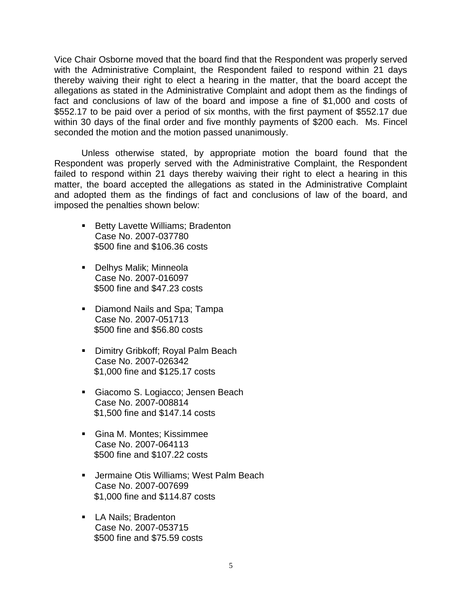Vice Chair Osborne moved that the board find that the Respondent was properly served with the Administrative Complaint, the Respondent failed to respond within 21 days thereby waiving their right to elect a hearing in the matter, that the board accept the allegations as stated in the Administrative Complaint and adopt them as the findings of fact and conclusions of law of the board and impose a fine of \$1,000 and costs of \$552.17 to be paid over a period of six months, with the first payment of \$552.17 due within 30 days of the final order and five monthly payments of \$200 each. Ms. Fincel seconded the motion and the motion passed unanimously.

 Unless otherwise stated, by appropriate motion the board found that the Respondent was properly served with the Administrative Complaint, the Respondent failed to respond within 21 days thereby waiving their right to elect a hearing in this matter, the board accepted the allegations as stated in the Administrative Complaint and adopted them as the findings of fact and conclusions of law of the board, and imposed the penalties shown below:

- **Betty Lavette Williams; Bradenton** Case No. 2007-037780 \$500 fine and \$106.36 costs
- Delhys Malik; Minneola Case No. 2007-016097 \$500 fine and \$47.23 costs
- Diamond Nails and Spa; Tampa Case No. 2007-051713 \$500 fine and \$56.80 costs
- **Dimitry Gribkoff; Royal Palm Beach** Case No. 2007-026342 \$1,000 fine and \$125.17 costs
- Giacomo S. Logiacco; Jensen Beach Case No. 2007-008814 \$1,500 fine and \$147.14 costs
- Gina M. Montes; Kissimmee Case No. 2007-064113 \$500 fine and \$107.22 costs
- Jermaine Otis Williams; West Palm Beach Case No. 2007-007699 \$1,000 fine and \$114.87 costs
- **LA Nails: Bradenton** Case No. 2007-053715 \$500 fine and \$75.59 costs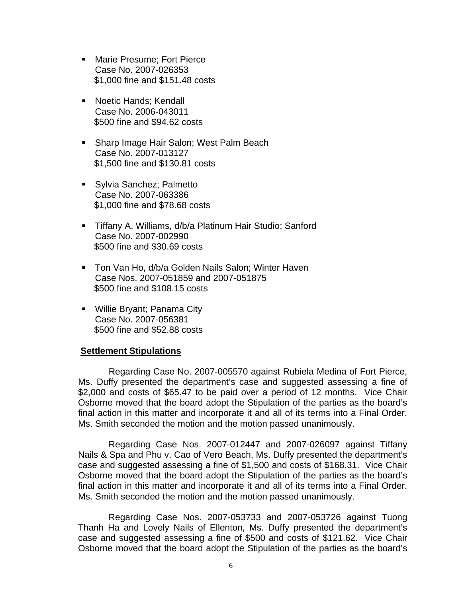- **Marie Presume: Fort Pierce** Case No. 2007-026353 \$1,000 fine and \$151.48 costs
- **Noetic Hands: Kendall** Case No. 2006-043011 \$500 fine and \$94.62 costs
- **Sharp Image Hair Salon; West Palm Beach** Case No. 2007-013127 \$1,500 fine and \$130.81 costs
- **Sylvia Sanchez; Palmetto** Case No. 2007-063386 \$1,000 fine and \$78.68 costs
- Tiffany A. Williams, d/b/a Platinum Hair Studio; Sanford Case No. 2007-002990 \$500 fine and \$30.69 costs
- **Ton Van Ho, d/b/a Golden Nails Salon; Winter Haven** Case Nos. 2007-051859 and 2007-051875 \$500 fine and \$108.15 costs
- **Willie Bryant**; Panama City Case No. 2007-056381 \$500 fine and \$52.88 costs

## **Settlement Stipulations**

 Regarding Case No. 2007-005570 against Rubiela Medina of Fort Pierce, Ms. Duffy presented the department's case and suggested assessing a fine of \$2,000 and costs of \$65.47 to be paid over a period of 12 months. Vice Chair Osborne moved that the board adopt the Stipulation of the parties as the board's final action in this matter and incorporate it and all of its terms into a Final Order. Ms. Smith seconded the motion and the motion passed unanimously.

 Regarding Case Nos. 2007-012447 and 2007-026097 against Tiffany Nails & Spa and Phu v. Cao of Vero Beach, Ms. Duffy presented the department's case and suggested assessing a fine of \$1,500 and costs of \$168.31. Vice Chair Osborne moved that the board adopt the Stipulation of the parties as the board's final action in this matter and incorporate it and all of its terms into a Final Order. Ms. Smith seconded the motion and the motion passed unanimously.

 Regarding Case Nos. 2007-053733 and 2007-053726 against Tuong Thanh Ha and Lovely Nails of Ellenton, Ms. Duffy presented the department's case and suggested assessing a fine of \$500 and costs of \$121.62. Vice Chair Osborne moved that the board adopt the Stipulation of the parties as the board's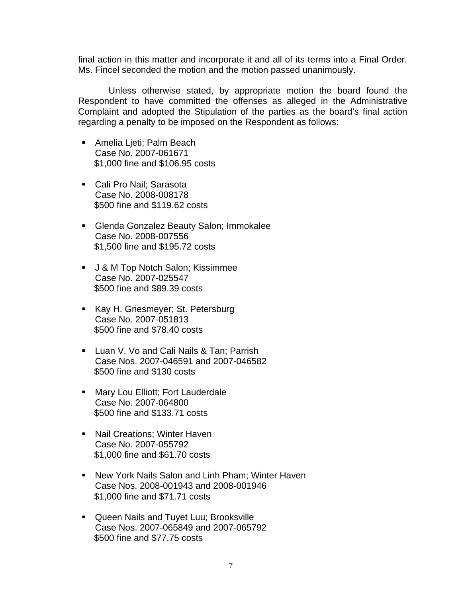final action in this matter and incorporate it and all of its terms into a Final Order. Ms. Fincel seconded the motion and the motion passed unanimously.

 Unless otherwise stated, by appropriate motion the board found the Respondent to have committed the offenses as alleged in the Administrative Complaint and adopted the Stipulation of the parties as the board's final action regarding a penalty to be imposed on the Respondent as follows:

- Amelia Ljeti; Palm Beach Case No. 2007-061671 \$1,000 fine and \$106.95 costs
- Cali Pro Nail; Sarasota Case No. 2008-008178 \$500 fine and \$119.62 costs
- Glenda Gonzalez Beauty Salon; Immokalee Case No. 2008-007556 \$1,500 fine and \$195.72 costs
- J & M Top Notch Salon; Kissimmee Case No. 2007-025547 \$500 fine and \$89.39 costs
- Kay H. Griesmeyer; St. Petersburg Case No. 2007-051813 \$500 fine and \$78.40 costs
- **Luan V. Vo and Cali Nails & Tan; Parrish** Case Nos. 2007-046591 and 2007-046582 \$500 fine and \$130 costs
- Mary Lou Elliott; Fort Lauderdale Case No. 2007-064800 \$500 fine and \$133.71 costs
- **Nail Creations; Winter Haven** Case No. 2007-055792 \$1,000 fine and \$61.70 costs
- New York Nails Salon and Linh Pham; Winter Haven Case Nos. 2008-001943 and 2008-001946 \$1,000 fine and \$71.71 costs
- **Queen Nails and Tuyet Luu; Brooksville** Case Nos. 2007-065849 and 2007-065792 \$500 fine and \$77.75 costs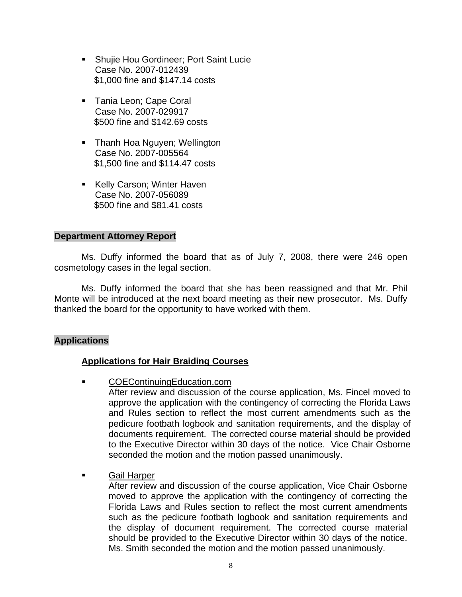- Shujie Hou Gordineer; Port Saint Lucie Case No. 2007-012439 \$1,000 fine and \$147.14 costs
- **Tania Leon: Cape Coral** Case No. 2007-029917 \$500 fine and \$142.69 costs
- **Thanh Hoa Nguyen; Wellington** Case No. 2007-005564 \$1,500 fine and \$114.47 costs
- Kelly Carson; Winter Haven Case No. 2007-056089 \$500 fine and \$81.41 costs

## **Department Attorney Report**

Ms. Duffy informed the board that as of July 7, 2008, there were 246 open cosmetology cases in the legal section.

 Ms. Duffy informed the board that she has been reassigned and that Mr. Phil Monte will be introduced at the next board meeting as their new prosecutor. Ms. Duffy thanked the board for the opportunity to have worked with them.

## **Applications**

## **Applications for Hair Braiding Courses**

COEContinuingEducation.com

After review and discussion of the course application, Ms. Fincel moved to approve the application with the contingency of correcting the Florida Laws and Rules section to reflect the most current amendments such as the pedicure footbath logbook and sanitation requirements, and the display of documents requirement. The corrected course material should be provided to the Executive Director within 30 days of the notice. Vice Chair Osborne seconded the motion and the motion passed unanimously.

Gail Harper

After review and discussion of the course application, Vice Chair Osborne moved to approve the application with the contingency of correcting the Florida Laws and Rules section to reflect the most current amendments such as the pedicure footbath logbook and sanitation requirements and the display of document requirement. The corrected course material should be provided to the Executive Director within 30 days of the notice. Ms. Smith seconded the motion and the motion passed unanimously.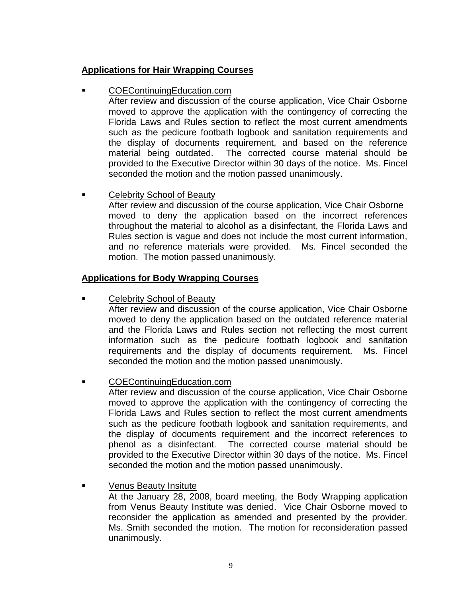# **Applications for Hair Wrapping Courses**

COEContinuingEducation.com

After review and discussion of the course application, Vice Chair Osborne moved to approve the application with the contingency of correcting the Florida Laws and Rules section to reflect the most current amendments such as the pedicure footbath logbook and sanitation requirements and the display of documents requirement, and based on the reference material being outdated. The corrected course material should be provided to the Executive Director within 30 days of the notice. Ms. Fincel seconded the motion and the motion passed unanimously.

# Celebrity School of Beauty

 After review and discussion of the course application, Vice Chair Osborne moved to deny the application based on the incorrect references throughout the material to alcohol as a disinfectant, the Florida Laws and Rules section is vague and does not include the most current information, and no reference materials were provided. Ms. Fincel seconded the motion. The motion passed unanimously.

# **Applications for Body Wrapping Courses**

Celebrity School of Beauty

After review and discussion of the course application, Vice Chair Osborne moved to deny the application based on the outdated reference material and the Florida Laws and Rules section not reflecting the most current information such as the pedicure footbath logbook and sanitation requirements and the display of documents requirement. Ms. Fincel seconded the motion and the motion passed unanimously.

COEContinuingEducation.com

After review and discussion of the course application, Vice Chair Osborne moved to approve the application with the contingency of correcting the Florida Laws and Rules section to reflect the most current amendments such as the pedicure footbath logbook and sanitation requirements, and the display of documents requirement and the incorrect references to phenol as a disinfectant. The corrected course material should be provided to the Executive Director within 30 days of the notice. Ms. Fincel seconded the motion and the motion passed unanimously.

Venus Beauty Insitute

At the January 28, 2008, board meeting, the Body Wrapping application from Venus Beauty Institute was denied. Vice Chair Osborne moved to reconsider the application as amended and presented by the provider. Ms. Smith seconded the motion. The motion for reconsideration passed unanimously.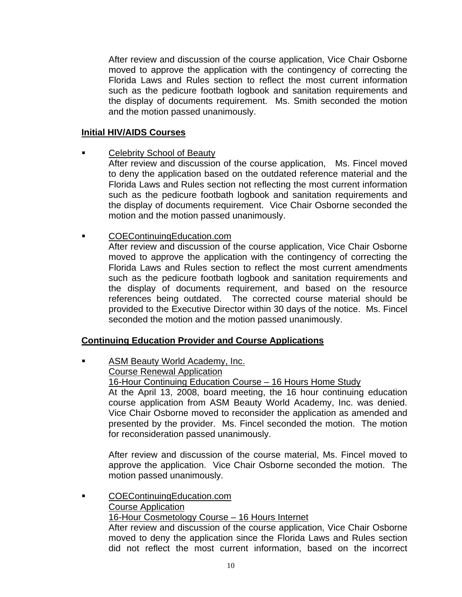After review and discussion of the course application, Vice Chair Osborne moved to approve the application with the contingency of correcting the Florida Laws and Rules section to reflect the most current information such as the pedicure footbath logbook and sanitation requirements and the display of documents requirement. Ms. Smith seconded the motion and the motion passed unanimously.

## **Initial HIV/AIDS Courses**

**Example 2** Celebrity School of Beauty

After review and discussion of the course application, Ms. Fincel moved to deny the application based on the outdated reference material and the Florida Laws and Rules section not reflecting the most current information such as the pedicure footbath logbook and sanitation requirements and the display of documents requirement. Vice Chair Osborne seconded the motion and the motion passed unanimously.

**COEContinuingEducation.com** 

After review and discussion of the course application, Vice Chair Osborne moved to approve the application with the contingency of correcting the Florida Laws and Rules section to reflect the most current amendments such as the pedicure footbath logbook and sanitation requirements and the display of documents requirement, and based on the resource references being outdated. The corrected course material should be provided to the Executive Director within 30 days of the notice. Ms. Fincel seconded the motion and the motion passed unanimously.

## **Continuing Education Provider and Course Applications**

 ASM Beauty World Academy, Inc. Course Renewal Application 16-Hour Continuing Education Course – 16 Hours Home Study At the April 13, 2008, board meeting, the 16 hour continuing education course application from ASM Beauty World Academy, Inc. was denied. Vice Chair Osborne moved to reconsider the application as amended and presented by the provider. Ms. Fincel seconded the motion. The motion for reconsideration passed unanimously.

After review and discussion of the course material, Ms. Fincel moved to approve the application. Vice Chair Osborne seconded the motion. The motion passed unanimously.

 COEContinuingEducation.com Course Application 16-Hour Cosmetology Course – 16 Hours Internet After review and discussion of the course application, Vice Chair Osborne moved to deny the application since the Florida Laws and Rules section did not reflect the most current information, based on the incorrect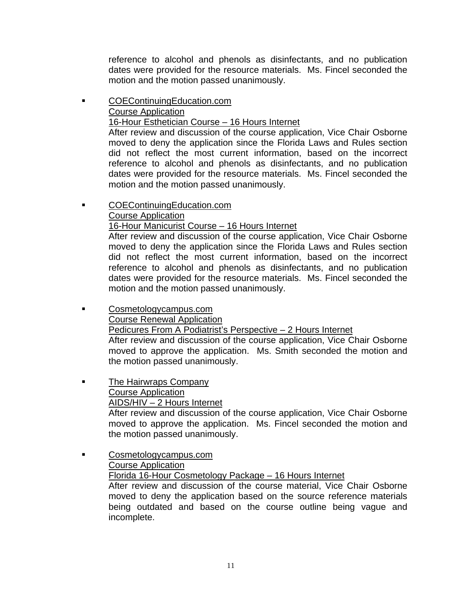reference to alcohol and phenols as disinfectants, and no publication dates were provided for the resource materials. Ms. Fincel seconded the motion and the motion passed unanimously.

 COEContinuingEducation.com Course Application

# 16-Hour Esthetician Course – 16 Hours Internet

After review and discussion of the course application, Vice Chair Osborne moved to deny the application since the Florida Laws and Rules section did not reflect the most current information, based on the incorrect reference to alcohol and phenols as disinfectants, and no publication dates were provided for the resource materials. Ms. Fincel seconded the motion and the motion passed unanimously.

# COEContinuingEducation.com

# Course Application

# 16-Hour Manicurist Course – 16 Hours Internet

After review and discussion of the course application, Vice Chair Osborne moved to deny the application since the Florida Laws and Rules section did not reflect the most current information, based on the incorrect reference to alcohol and phenols as disinfectants, and no publication dates were provided for the resource materials. Ms. Fincel seconded the motion and the motion passed unanimously.

 Cosmetologycampus.com Course Renewal Application Pedicures From A Podiatrist's Perspective – 2 Hours Internet After review and discussion of the course application, Vice Chair Osborne moved to approve the application. Ms. Smith seconded the motion and the motion passed unanimously.

# **The Hairwraps Company**

# Course Application

## AIDS/HIV – 2 Hours Internet

After review and discussion of the course application, Vice Chair Osborne moved to approve the application. Ms. Fincel seconded the motion and the motion passed unanimously.

# Cosmetologycampus.com

# Course Application

Florida 16-Hour Cosmetology Package – 16 Hours Internet

After review and discussion of the course material, Vice Chair Osborne moved to deny the application based on the source reference materials being outdated and based on the course outline being vague and incomplete.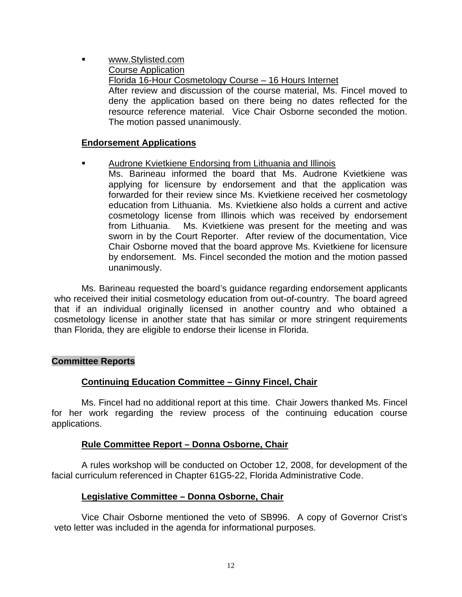www.Stylisted.com Course Application Florida 16-Hour Cosmetology Course – 16 Hours Internet After review and discussion of the course material, Ms. Fincel moved to deny the application based on there being no dates reflected for the resource reference material. Vice Chair Osborne seconded the motion. The motion passed unanimously.

## **Endorsement Applications**

- Audrone Kvietkiene Endorsing from Lithuania and Illinois
	- Ms. Barineau informed the board that Ms. Audrone Kvietkiene was applying for licensure by endorsement and that the application was forwarded for their review since Ms. Kvietkiene received her cosmetology education from Lithuania. Ms. Kvietkiene also holds a current and active cosmetology license from Illinois which was received by endorsement from Lithuania. Ms. Kvietkiene was present for the meeting and was sworn in by the Court Reporter. After review of the documentation, Vice Chair Osborne moved that the board approve Ms. Kvietkiene for licensure by endorsement. Ms. Fincel seconded the motion and the motion passed unanimously.

 Ms. Barineau requested the board's guidance regarding endorsement applicants who received their initial cosmetology education from out-of-country. The board agreed that if an individual originally licensed in another country and who obtained a cosmetology license in another state that has similar or more stringent requirements than Florida, they are eligible to endorse their license in Florida.

## **Committee Reports**

## **Continuing Education Committee – Ginny Fincel, Chair**

 Ms. Fincel had no additional report at this time. Chair Jowers thanked Ms. Fincel for her work regarding the review process of the continuing education course applications.

## **Rule Committee Report – Donna Osborne, Chair**

 A rules workshop will be conducted on October 12, 2008, for development of the facial curriculum referenced in Chapter 61G5-22, Florida Administrative Code.

## **Legislative Committee – Donna Osborne, Chair**

 Vice Chair Osborne mentioned the veto of SB996. A copy of Governor Crist's veto letter was included in the agenda for informational purposes.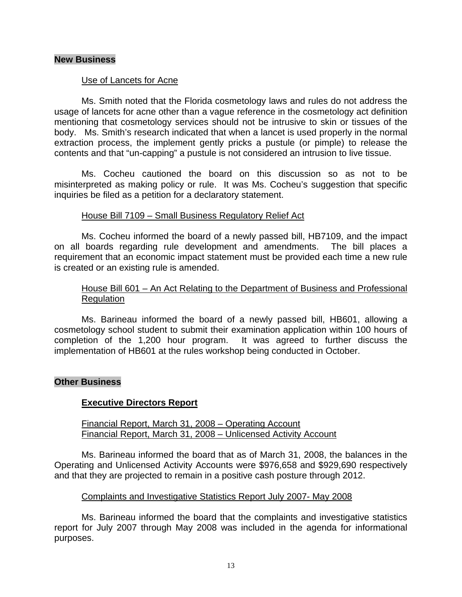## **New Business**

## Use of Lancets for Acne

 Ms. Smith noted that the Florida cosmetology laws and rules do not address the usage of lancets for acne other than a vague reference in the cosmetology act definition mentioning that cosmetology services should not be intrusive to skin or tissues of the body. Ms. Smith's research indicated that when a lancet is used properly in the normal extraction process, the implement gently pricks a pustule (or pimple) to release the contents and that "un-capping" a pustule is not considered an intrusion to live tissue.

 Ms. Cocheu cautioned the board on this discussion so as not to be misinterpreted as making policy or rule. It was Ms. Cocheu's suggestion that specific inquiries be filed as a petition for a declaratory statement.

## House Bill 7109 – Small Business Regulatory Relief Act

 Ms. Cocheu informed the board of a newly passed bill, HB7109, and the impact on all boards regarding rule development and amendments. The bill places a requirement that an economic impact statement must be provided each time a new rule is created or an existing rule is amended.

## House Bill 601 – An Act Relating to the Department of Business and Professional Regulation

 Ms. Barineau informed the board of a newly passed bill, HB601, allowing a cosmetology school student to submit their examination application within 100 hours of completion of the 1,200 hour program. It was agreed to further discuss the implementation of HB601 at the rules workshop being conducted in October.

## **Other Business**

## **Executive Directors Report**

 Financial Report, March 31, 2008 – Operating Account Financial Report, March 31, 2008 – Unlicensed Activity Account

 Ms. Barineau informed the board that as of March 31, 2008, the balances in the Operating and Unlicensed Activity Accounts were \$976,658 and \$929,690 respectively and that they are projected to remain in a positive cash posture through 2012.

## Complaints and Investigative Statistics Report July 2007- May 2008

 Ms. Barineau informed the board that the complaints and investigative statistics report for July 2007 through May 2008 was included in the agenda for informational purposes.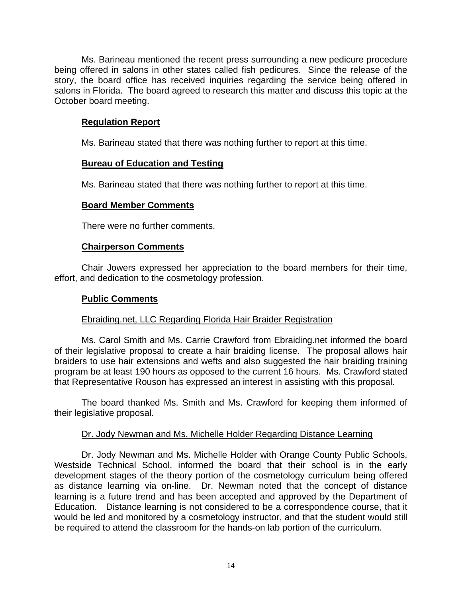Ms. Barineau mentioned the recent press surrounding a new pedicure procedure being offered in salons in other states called fish pedicures. Since the release of the story, the board office has received inquiries regarding the service being offered in salons in Florida. The board agreed to research this matter and discuss this topic at the October board meeting.

## **Regulation Report**

Ms. Barineau stated that there was nothing further to report at this time.

# **Bureau of Education and Testing**

Ms. Barineau stated that there was nothing further to report at this time.

# **Board Member Comments**

There were no further comments.

## **Chairperson Comments**

 Chair Jowers expressed her appreciation to the board members for their time, effort, and dedication to the cosmetology profession.

## **Public Comments**

## Ebraiding.net, LLC Regarding Florida Hair Braider Registration

 Ms. Carol Smith and Ms. Carrie Crawford from Ebraiding.net informed the board of their legislative proposal to create a hair braiding license. The proposal allows hair braiders to use hair extensions and wefts and also suggested the hair braiding training program be at least 190 hours as opposed to the current 16 hours. Ms. Crawford stated that Representative Rouson has expressed an interest in assisting with this proposal.

 The board thanked Ms. Smith and Ms. Crawford for keeping them informed of their legislative proposal.

## Dr. Jody Newman and Ms. Michelle Holder Regarding Distance Learning

 Dr. Jody Newman and Ms. Michelle Holder with Orange County Public Schools, Westside Technical School, informed the board that their school is in the early development stages of the theory portion of the cosmetology curriculum being offered as distance learning via on-line. Dr. Newman noted that the concept of distance learning is a future trend and has been accepted and approved by the Department of Education. Distance learning is not considered to be a correspondence course, that it would be led and monitored by a cosmetology instructor, and that the student would still be required to attend the classroom for the hands-on lab portion of the curriculum.